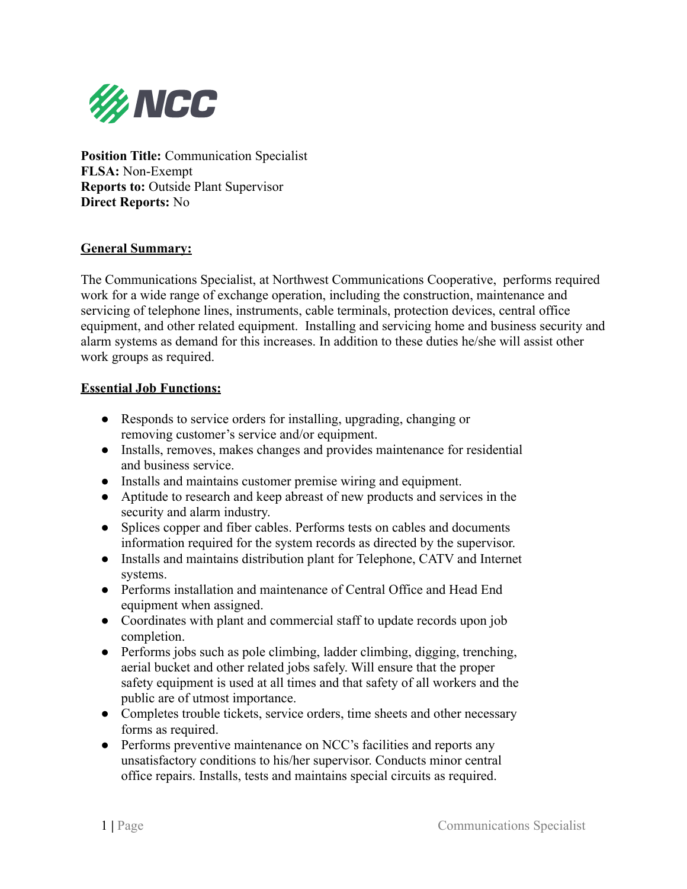

**Position Title:** Communication Specialist **FLSA:** Non-Exempt **Reports to:** Outside Plant Supervisor **Direct Reports:** No

### **General Summary:**

The Communications Specialist, at Northwest Communications Cooperative, performs required work for a wide range of exchange operation, including the construction, maintenance and servicing of telephone lines, instruments, cable terminals, protection devices, central office equipment, and other related equipment. Installing and servicing home and business security and alarm systems as demand for this increases. In addition to these duties he/she will assist other work groups as required.

### **Essential Job Functions:**

- Responds to service orders for installing, upgrading, changing or removing customer's service and/or equipment.
- Installs, removes, makes changes and provides maintenance for residential and business service.
- Installs and maintains customer premise wiring and equipment.
- Aptitude to research and keep abreast of new products and services in the security and alarm industry.
- Splices copper and fiber cables. Performs tests on cables and documents information required for the system records as directed by the supervisor.
- Installs and maintains distribution plant for Telephone, CATV and Internet systems.
- Performs installation and maintenance of Central Office and Head End equipment when assigned.
- Coordinates with plant and commercial staff to update records upon job completion.
- Performs jobs such as pole climbing, ladder climbing, digging, trenching, aerial bucket and other related jobs safely. Will ensure that the proper safety equipment is used at all times and that safety of all workers and the public are of utmost importance.
- Completes trouble tickets, service orders, time sheets and other necessary forms as required.
- Performs preventive maintenance on NCC's facilities and reports any unsatisfactory conditions to his/her supervisor. Conducts minor central office repairs. Installs, tests and maintains special circuits as required.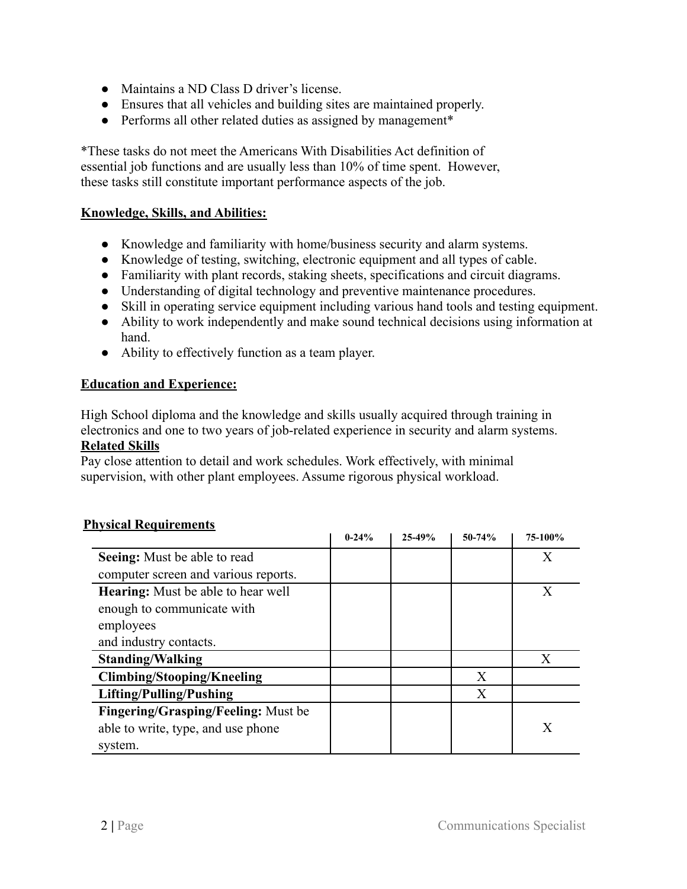- Maintains a ND Class D driver's license.
- Ensures that all vehicles and building sites are maintained properly.
- Performs all other related duties as assigned by management\*

\*These tasks do not meet the Americans With Disabilities Act definition of essential job functions and are usually less than 10% of time spent. However, these tasks still constitute important performance aspects of the job.

# **Knowledge, Skills, and Abilities:**

- Knowledge and familiarity with home/business security and alarm systems.
- Knowledge of testing, switching, electronic equipment and all types of cable.
- Familiarity with plant records, staking sheets, specifications and circuit diagrams.
- Understanding of digital technology and preventive maintenance procedures.
- Skill in operating service equipment including various hand tools and testing equipment.
- Ability to work independently and make sound technical decisions using information at hand.
- Ability to effectively function as a team player.

### **Education and Experience:**

High School diploma and the knowledge and skills usually acquired through training in electronics and one to two years of job-related experience in security and alarm systems. **Related Skills**

Pay close attention to detail and work schedules. Work effectively, with minimal supervision, with other plant employees. Assume rigorous physical workload.

|                                           | $0 - 24%$ | 25-49% | $50 - 74%$ | 75-100%      |
|-------------------------------------------|-----------|--------|------------|--------------|
| Seeing: Must be able to read              |           |        |            | $\mathbf{X}$ |
| computer screen and various reports.      |           |        |            |              |
| <b>Hearing:</b> Must be able to hear well |           |        |            | X            |
| enough to communicate with                |           |        |            |              |
| employees                                 |           |        |            |              |
| and industry contacts.                    |           |        |            |              |
| <b>Standing/Walking</b>                   |           |        |            |              |
| <b>Climbing/Stooping/Kneeling</b>         |           |        | X          |              |
| Lifting/Pulling/Pushing                   |           |        | X          |              |
| Fingering/Grasping/Feeling: Must be       |           |        |            |              |
| able to write, type, and use phone        |           |        |            | X            |
| system.                                   |           |        |            |              |

# **Physical Requirements**